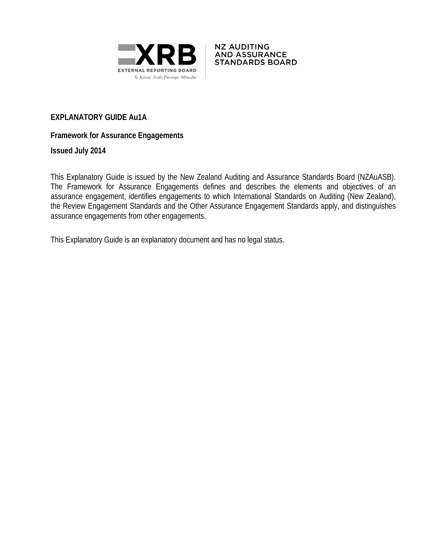



# **EXPLANATORY GUIDE Au1A**

# **Framework for Assurance Engagements**

**Issued July 2014**

This Explanatory Guide is issued by the New Zealand Auditing and Assurance Standards Board (NZAuASB). The Framework for Assurance Engagements defines and describes the elements and objectives of an assurance engagement, identifies engagements to which International Standards on Auditing (New Zealand), the Review Engagement Standards and the Other Assurance Engagement Standards apply, and distinguishes assurance engagements from other engagements.

<span id="page-0-0"></span>This Explanatory Guide is an explanatory document and has no legal status.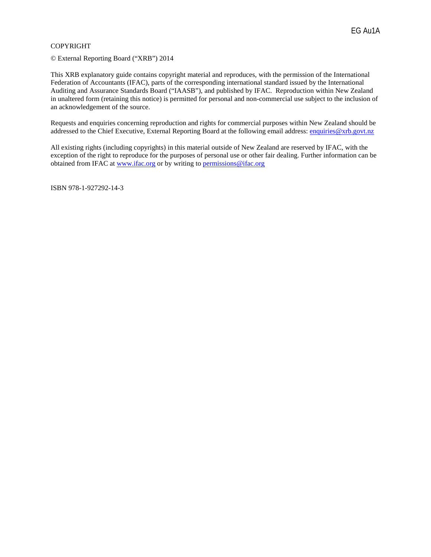#### COPYRIGHT

© External Reporting Board ("XRB") 2014

This XRB explanatory guide contains copyright material and reproduces, with the permission of the International Federation of Accountants (IFAC), parts of the corresponding international standard issued by the International Auditing and Assurance Standards Board ("IAASB"), and published by IFAC. Reproduction within New Zealand in unaltered form (retaining this notice) is permitted for personal and non-commercial use subject to the inclusion of an acknowledgement of the source.

Requests and enquiries concerning reproduction and rights for commercial purposes within New Zealand should be addressed to the Chief Executive, External Reporting Board at the following email address: [enquiries@xrb.govt.nz](mailto:enquiries@xrb.govt.nz)

All existing rights (including copyrights) in this material outside of New Zealand are reserved by IFAC, with the exception of the right to reproduce for the purposes of personal use or other fair dealing. Further information can be obtained from IFAC at [www.ifac.org](http://www.ifac.org/) or by writing to [permissions@ifac.org](mailto:permissions@ifac.org)

ISBN 978-1-927292-14-3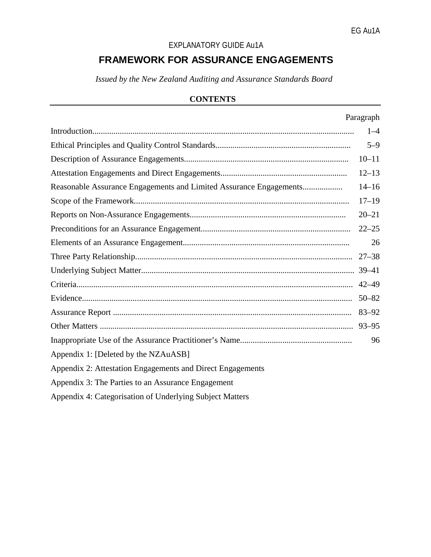# EXPLANATORY GUIDE Au1A

# **FRAMEWORK FOR ASSURANCE ENGAGEMENTS**

*Issued by the New Zealand Auditing and Assurance Standards Board*

# **CONTENTS**

|                                                                    | Paragraph |
|--------------------------------------------------------------------|-----------|
|                                                                    | $1 - 4$   |
|                                                                    | $5 - 9$   |
|                                                                    | $10 - 11$ |
|                                                                    | $12 - 13$ |
| Reasonable Assurance Engagements and Limited Assurance Engagements | $14 - 16$ |
|                                                                    | $17 - 19$ |
|                                                                    | $20 - 21$ |
|                                                                    | $22 - 25$ |
|                                                                    | 26        |
|                                                                    | $27 - 38$ |
|                                                                    | $39 - 41$ |
|                                                                    | $42 - 49$ |
|                                                                    | $50 - 82$ |
|                                                                    | $83 - 92$ |
|                                                                    | $93 - 95$ |
|                                                                    | 96        |
| Appendix 1: [Deleted by the NZAuASB]                               |           |
| Appendix 2: Attestation Engagements and Direct Engagements         |           |
| Appendix 3: The Parties to an Assurance Engagement                 |           |
| Appendix 4: Categorisation of Underlying Subject Matters           |           |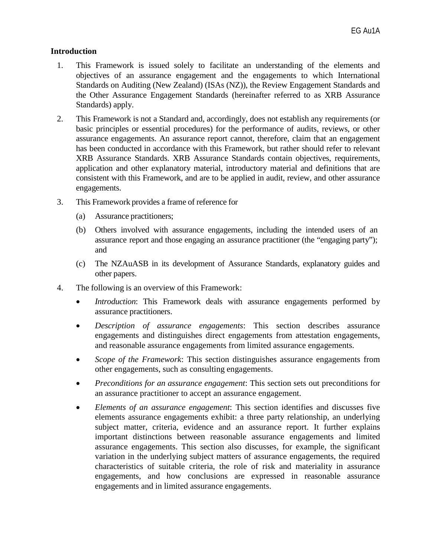#### **Introduction**

- 1. This Framework is issued solely to facilitate an understanding of the elements and objectives of an assurance engagement and the engagements to which International Standards on Auditing (New Zealand) (ISAs (NZ)), the Review Engagement Standards and the Other Assurance Engagement Standards (hereinafter referred to as XRB Assurance Standards) apply.
- 2. This Framework is not a Standard and, accordingly, does not establish any requirements (or basic principles or essential procedures) for the performance of audits, reviews, or other assurance engagements. An assurance report cannot, therefore, claim that an engagement has been conducted in accordance with this Framework, but rather should refer to relevant XRB Assurance Standards. XRB Assurance Standards contain objectives, requirements, application and other explanatory material, introductory material and definitions that are consistent with this Framework, and are to be applied in audit, review, and other assurance engagements.
- 3. This Framework provides a frame of reference for
	- (a) Assurance practitioners;
	- (b) Others involved with assurance engagements, including the intended users of an assurance report and those engaging an assurance practitioner (the "engaging party"); and
	- (c) The NZAuASB in its development of Assurance Standards, explanatory guides and other papers.
- 4. The following is an overview of this Framework:
	- *Introduction*: This Framework deals with assurance engagements performed by assurance practitioners.
	- *Description of assurance engagements*: This section describes assurance engagements and distinguishes direct engagements from attestation engagements, and reasonable assurance engagements from limited assurance engagements.
	- *Scope of the Framework*: This section distinguishes assurance engagements from other engagements, such as consulting engagements.
	- *Preconditions for an assurance engagement*: This section sets out preconditions for an assurance practitioner to accept an assurance engagement.
	- *Elements of an assurance engagement*: This section identifies and discusses five elements assurance engagements exhibit: a three party relationship, an underlying subject matter, criteria, evidence and an assurance report. It further explains important distinctions between reasonable assurance engagements and limited assurance engagements. This section also discusses, for example, the significant variation in the underlying subject matters of assurance engagements, the required characteristics of suitable criteria, the role of risk and materiality in assurance engagements, and how conclusions are expressed in reasonable assurance engagements and in limited assurance engagements.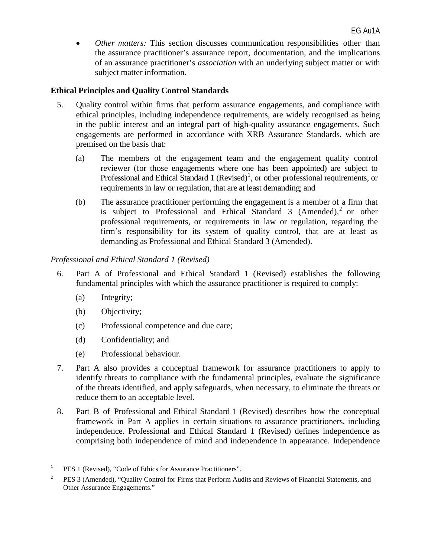• *Other matters:* This section discusses communication responsibilities other than the assurance practitioner's assurance report, documentation, and the implications of an assurance practitioner's *association* with an underlying subject matter or with subject matter information.

# **Ethical Principles and Quality Control Standards**

- 5. Quality control within firms that perform assurance engagements, and compliance with ethical principles, including independence requirements, are widely recognised as being in the public interest and an integral part of high-quality assurance engagements. Such engagements are performed in accordance with XRB Assurance Standards, which are premised on the basis that:
	- (a) The members of the engagement team and the engagement quality control reviewer (for those engagements where one has been appointed) are subject to Professional and Ethical Standard [1](#page-0-0) (Revised)<sup>1</sup>, or other professional requirements, or requirements in law or regulation, that are at least demanding; and
	- (b) The assurance practitioner performing the engagement is a member of a firm that is subject to Professional and Ethical Standard 3 (Amended),<sup>[2](#page-4-0)</sup> or other professional requirements, or requirements in law or regulation, regarding the firm's responsibility for its system of quality control, that are at least as demanding as Professional and Ethical Standard 3 (Amended).

## *Professional and Ethical Standard 1 (Revised)*

- 6. Part A of Professional and Ethical Standard 1 (Revised) establishes the following fundamental principles with which the assurance practitioner is required to comply:
	- (a) Integrity;
	- (b) Objectivity;
	- (c) Professional competence and due care;
	- (d) Confidentiality; and
	- (e) Professional behaviour.
- 7. Part A also provides a conceptual framework for assurance practitioners to apply to identify threats to compliance with the fundamental principles, evaluate the significance of the threats identified, and apply safeguards, when necessary, to eliminate the threats or reduce them to an acceptable level.
- <span id="page-4-1"></span>8. Part B of Professional and Ethical Standard 1 (Revised) describes how the conceptual framework in Part A applies in certain situations to assurance practitioners, including independence. Professional and Ethical Standard 1 (Revised) defines independence as comprising both independence of mind and independence in appearance. Independence

<sup>&</sup>lt;sup>1</sup> PES 1 (Revised), "Code of Ethics for Assurance Practitioners".

<span id="page-4-0"></span><sup>&</sup>lt;sup>2</sup> PES 3 (Amended), "Quality Control for Firms that Perform Audits and Reviews of Financial Statements, and Other Assurance Engagements."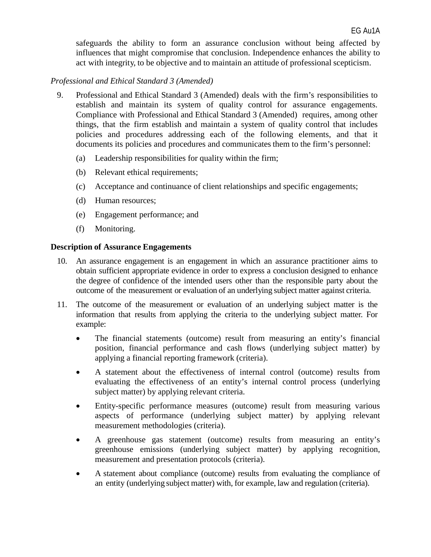safeguards the ability to form an assurance conclusion without being affected by influences that might compromise that conclusion. Independence enhances the ability to act with integrity, to be objective and to maintain an attitude of professional scepticism.

### *Professional and Ethical Standard 3 (Amended)*

- 9. Professional and Ethical Standard 3 (Amended) deals with the firm's responsibilities to establish and maintain its system of quality control for assurance engagements. Compliance with Professional and Ethical Standard 3 (Amended) requires, among other things, that the firm establish and maintain a system of quality control that includes policies and procedures addressing each of the following elements, and that it documents its policies and procedures and communicates them to the firm's personnel:
	- (a) Leadership responsibilities for quality within the firm;
	- (b) Relevant ethical requirements;
	- (c) Acceptance and continuance of client relationships and specific engagements;
	- (d) Human resources;
	- (e) Engagement performance; and
	- (f) Monitoring.

#### **Description of Assurance Engagements**

- 10. An assurance engagement is an engagement in which an assurance practitioner aims to obtain sufficient appropriate evidence in order to express a conclusion designed to enhance the degree of confidence of the intended users other than the responsible party about the outcome of the measurement or evaluation of an underlying subject matter against criteria.
- 11. The outcome of the measurement or evaluation of an underlying subject matter is the information that results from applying the criteria to the underlying subject matter. For example:
	- The financial statements (outcome) result from measuring an entity's financial position, financial performance and cash flows (underlying subject matter) by applying a financial reporting framework (criteria).
	- A statement about the effectiveness of internal control (outcome) results from evaluating the effectiveness of an entity's internal control process (underlying subject matter) by applying relevant criteria.
	- Entity-specific performance measures (outcome) result from measuring various aspects of performance (underlying subject matter) by applying relevant measurement methodologies (criteria).
	- A greenhouse gas statement (outcome) results from measuring an entity's greenhouse emissions (underlying subject matter) by applying recognition, measurement and presentation protocols (criteria).
	- A statement about compliance (outcome) results from evaluating the compliance of an entity (underlying subject matter) with, for example, law and regulation (criteria).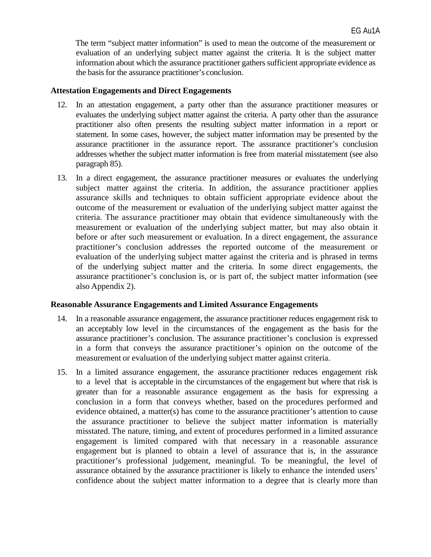The term "subject matter information" is used to mean the outcome of the measurement or evaluation of an underlying subject matter against the criteria. It is the subject matter information about which the assurance practitioner gathers sufficient appropriate evidence as the basisfor the assurance practitioner's conclusion.

#### **Attestation Engagements and Direct Engagements**

- 12. In an attestation engagement, a party other than the assurance practitioner measures or evaluates the underlying subject matter against the criteria. A party other than the assurance practitioner also often presents the resulting subject matter information in a report or statement. In some cases, however, the subject matter information may be presented by the assurance practitioner in the assurance report. The assurance practitioner's conclusion addresses whether the subject matter information is free from material misstatement (see also paragraph 85).
- 13. In a direct engagement, the assurance practitioner measures or evaluates the underlying subject matter against the criteria. In addition, the assurance practitioner applies assurance skills and techniques to obtain sufficient appropriate evidence about the outcome of the measurement or evaluation of the underlying subject matter against the criteria. The assurance practitioner may obtain that evidence simultaneously with the measurement or evaluation of the underlying subject matter, but may also obtain it before or after such measurement or evaluation. In a direct engagement, the assurance practitioner's conclusion addresses the reported outcome of the measurement or evaluation of the underlying subject matter against the criteria and is phrased in terms of the underlying subject matter and the criteria. In some direct engagements, the assurance practitioner's conclusion is, or is part of, the subject matter information (see also Appendix 2).

#### **Reasonable Assurance Engagements and Limited Assurance Engagements**

- 14. In a reasonable assurance engagement, the assurance practitioner reduces engagement risk to an acceptably low level in the circumstances of the engagement as the basis for the assurance practitioner's conclusion. The assurance practitioner's conclusion is expressed in a form that conveys the assurance practitioner's opinion on the outcome of the measurement or evaluation of the underlying subject matter against criteria.
- 15. In a limited assurance engagement, the assurance practitioner reduces engagement risk to a level that is acceptable in the circumstances of the engagement but where that risk is greater than for a reasonable assurance engagement as the basis for expressing a conclusion in a form that conveys whether, based on the procedures performed and evidence obtained, a matter(s) has come to the assurance practitioner's attention to cause the assurance practitioner to believe the subject matter information is materially misstated. The nature, timing, and extent of procedures performed in a limited assurance engagement is limited compared with that necessary in a reasonable assurance engagement but is planned to obtain a level of assurance that is, in the assurance practitioner's professional judgement, meaningful. To be meaningful, the level of assurance obtained by the assurance practitioner is likely to enhance the intended users' confidence about the subject matter information to a degree that is clearly more than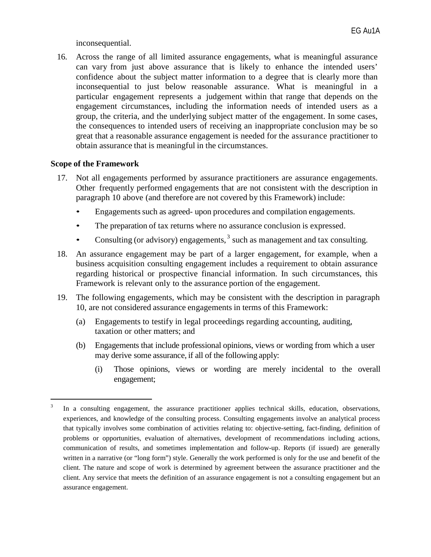inconsequential.

16. Across the range of all limited assurance engagements, what is meaningful assurance can vary from just above assurance that is likely to enhance the intended users' confidence about the subject matter information to a degree that is clearly more than inconsequential to just below reasonable assurance. What is meaningful in a particular engagement represents a judgement within that range that depends on the engagement circumstances, including the information needs of intended users as a group, the criteria, and the underlying subject matter of the engagement. In some cases, the consequences to intended users of receiving an inappropriate conclusion may be so great that a reasonable assurance engagement is needed for the assurance practitioner to obtain assurance that is meaningful in the circumstances.

### **Scope of the Framework**

l

- 17. Not all engagements performed by assurance practitioners are assurance engagements. Other frequently performed engagements that are not consistent with the description in paragraph 10 above (and therefore are not covered by this Framework) include:
	- Engagements such as agreed- upon procedures and compilation engagements.
	- The preparation of tax returns where no assurance conclusion is expressed.
	- Consulting (or advisory) engagements,  $3$  such as management and tax consulting.
- 18. An assurance engagement may be part of a larger engagement, for example, when a business acquisition consulting engagement includes a requirement to obtain assurance regarding historical or prospective financial information. In such circumstances, this Framework is relevant only to the assurance portion of the engagement.
- 19. The following engagements, which may be consistent with the description in paragraph 10, are not considered assurance engagements in terms of this Framework:
	- (a) Engagements to testify in legal proceedings regarding accounting, auditing, taxation or other matters; and
	- (b) Engagements that include professional opinions, views or wording from which a user may derive some assurance, if all of the following apply:
		- (i) Those opinions, views or wording are merely incidental to the overall engagement;

<span id="page-7-0"></span><sup>&</sup>lt;sup>3</sup> In a consulting engagement, the assurance practitioner applies technical skills, education, observations, experiences, and knowledge of the consulting process. Consulting engagements involve an analytical process that typically involves some combination of activities relating to: objective-setting, fact-finding, definition of problems or opportunities, evaluation of alternatives, development of recommendations including actions, communication of results, and sometimes implementation and follow-up. Reports (if issued) are generally written in a narrative (or "long form") style. Generally the work performed is only for the use and benefit of the client. The nature and scope of work is determined by agreement between the assurance practitioner and the client. Any service that meets the definition of an assurance engagement is not a consulting engagement but an assurance engagement.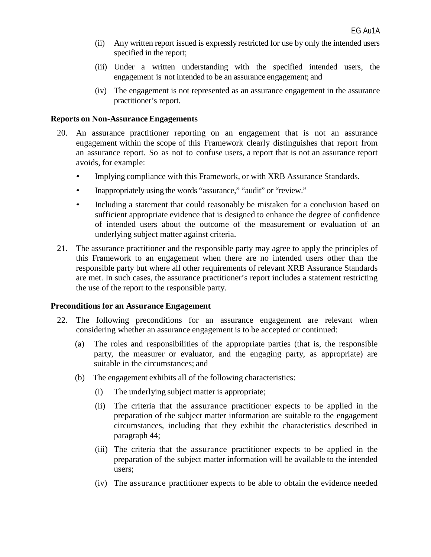- (ii) Any written report issued is expressly restricted for use by only the intended users specified in the report;
- (iii) Under a written understanding with the specified intended users, the engagement is not intended to be an assurance engagement; and
- (iv) The engagement is not represented as an assurance engagement in the assurance practitioner's report.

#### **Reports on Non-Assurance Engagements**

- 20. An assurance practitioner reporting on an engagement that is not an assurance engagement within the scope of this Framework clearly distinguishes that report from an assurance report. So as not to confuse users, a report that is not an assurance report avoids, for example:
	- Implying compliance with this Framework, or with XRB Assurance Standards.
	- Inappropriately using the words "assurance," "audit" or "review."
	- Including a statement that could reasonably be mistaken for a conclusion based on sufficient appropriate evidence that is designed to enhance the degree of confidence of intended users about the outcome of the measurement or evaluation of an underlying subject matter against criteria.
- 21. The assurance practitioner and the responsible party may agree to apply the principles of this Framework to an engagement when there are no intended users other than the responsible party but where all other requirements of relevant XRB Assurance Standards are met. In such cases, the assurance practitioner's report includes a statement restricting the use of the report to the responsible party.

#### **Preconditions for an Assurance Engagement**

- 22. The following preconditions for an assurance engagement are relevant when considering whether an assurance engagement is to be accepted or continued:
	- (a) The roles and responsibilities of the appropriate parties (that is, the responsible party, the measurer or evaluator, and the engaging party, as appropriate) are suitable in the circumstances; and
	- (b) The engagement exhibits all of the following characteristics:
		- (i) The underlying subject matter is appropriate;
		- (ii) The criteria that the assurance practitioner expects to be applied in the preparation of the subject matter information are suitable to the engagement circumstances, including that they exhibit the characteristics described in paragraph 44;
		- (iii) The criteria that the assurance practitioner expects to be applied in the preparation of the subject matter information will be available to the intended users;
		- (iv) The assurance practitioner expects to be able to obtain the evidence needed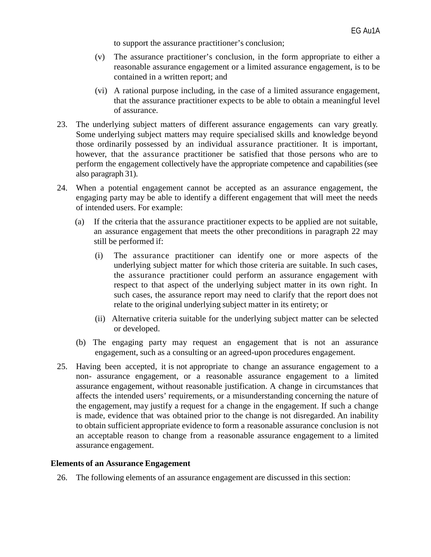to support the assurance practitioner's conclusion;

- (v) The assurance practitioner's conclusion, in the form appropriate to either a reasonable assurance engagement or a limited assurance engagement, is to be contained in a written report; and
- (vi) A rational purpose including, in the case of a limited assurance engagement, that the assurance practitioner expects to be able to obtain a meaningful level of assurance.
- 23. The underlying subject matters of different assurance engagements can vary greatly. Some underlying subject matters may require specialised skills and knowledge beyond those ordinarily possessed by an individual assurance practitioner. It is important, however, that the assurance practitioner be satisfied that those persons who are to perform the engagement collectively have the appropriate competence and capabilities (see also paragraph 31).
- 24. When a potential engagement cannot be accepted as an assurance engagement, the engaging party may be able to identify a different engagement that will meet the needs of intended users. For example:
	- (a) If the criteria that the assurance practitioner expects to be applied are not suitable, an assurance engagement that meets the other preconditions in paragraph 22 may still be performed if:
		- (i) The assurance practitioner can identify one or more aspects of the underlying subject matter for which those criteria are suitable. In such cases, the assurance practitioner could perform an assurance engagement with respect to that aspect of the underlying subject matter in its own right. In such cases, the assurance report may need to clarify that the report does not relate to the original underlying subject matter in its entirety; or
		- (ii) Alternative criteria suitable for the underlying subject matter can be selected or developed.
	- (b) The engaging party may request an engagement that is not an assurance engagement, such as a consulting or an agreed-upon procedures engagement.
- 25. Having been accepted, it is not appropriate to change an assurance engagement to a non- assurance engagement, or a reasonable assurance engagement to a limited assurance engagement, without reasonable justification. A change in circumstances that affects the intended users' requirements, or a misunderstanding concerning the nature of the engagement, may justify a request for a change in the engagement. If such a change is made, evidence that was obtained prior to the change is not disregarded. An inability to obtain sufficient appropriate evidence to form a reasonable assurance conclusion is not an acceptable reason to change from a reasonable assurance engagement to a limited assurance engagement.

#### **Elements of an Assurance Engagement**

26. The following elements of an assurance engagement are discussed in this section: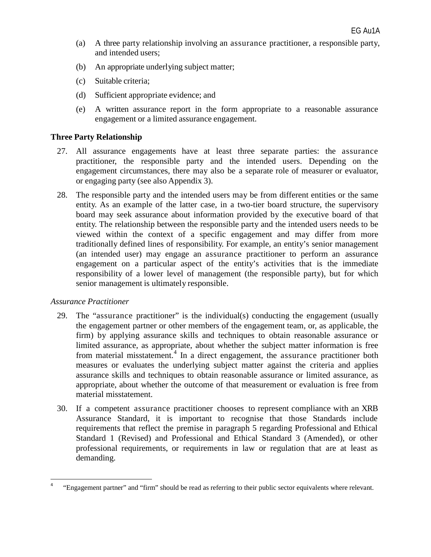- (a) A three party relationship involving an assurance practitioner, a responsible party, and intended users;
- (b) An appropriate underlying subject matter;
- (c) Suitable criteria;
- (d) Sufficient appropriate evidence; and
- (e) A written assurance report in the form appropriate to a reasonable assurance engagement or a limited assurance engagement.

#### **Three Party Relationship**

- 27. All assurance engagements have at least three separate parties: the assurance practitioner, the responsible party and the intended users. Depending on the engagement circumstances, there may also be a separate role of measurer or evaluator, or engaging party (see also Appendix 3).
- 28. The responsible party and the intended users may be from different entities or the same entity. As an example of the latter case, in a two-tier board structure, the supervisory board may seek assurance about information provided by the executive board of that entity. The relationship between the responsible party and the intended users needs to be viewed within the context of a specific engagement and may differ from more traditionally defined lines of responsibility. For example, an entity's senior management (an intended user) may engage an assurance practitioner to perform an assurance engagement on a particular aspect of the entity's activities that is the immediate responsibility of a lower level of management (the responsible party), but for which senior management is ultimately responsible.

#### *Assurance Practitioner*

- 29. The "assurance practitioner" is the individual(s) conducting the engagement (usually the engagement partner or other members of the engagement team, or, as applicable, the firm) by applying assurance skills and techniques to obtain reasonable assurance or limited assurance, as appropriate, about whether the subject matter information is free from material misstatement.<sup>[4](#page-7-0)</sup> In a direct engagement, the assurance practitioner both measures or evaluates the underlying subject matter against the criteria and applies assurance skills and techniques to obtain reasonable assurance or limited assurance, as appropriate, about whether the outcome of that measurement or evaluation is free from material misstatement.
- 30. If a competent assurance practitioner chooses to represent compliance with an XRB Assurance Standard, it is important to recognise that those Standards include requirements that reflect the premise in paragraph 5 regarding Professional and Ethical Standard 1 (Revised) and Professional and Ethical Standard 3 (Amended), or other professional requirements, or requirements in law or regulation that are at least as demanding.

 <sup>4</sup> "Engagement partner" and "firm" should be read as referring to their public sector equivalents where relevant.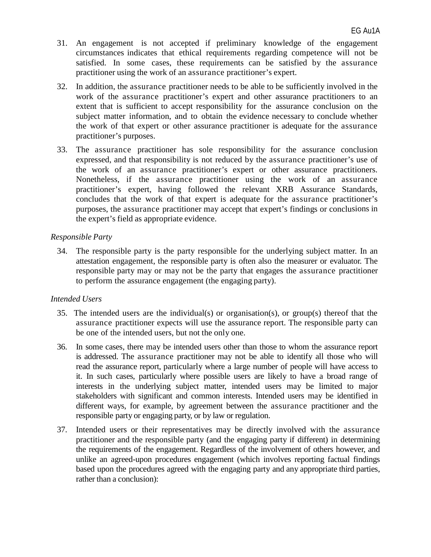- 31. An engagement is not accepted if preliminary knowledge of the engagement circumstances indicates that ethical requirements regarding competence will not be satisfied. In some cases, these requirements can be satisfied by the assurance practitioner using the work of an assurance practitioner's expert.
- 32. In addition, the assurance practitioner needs to be able to be sufficiently involved in the work of the assurance practitioner's expert and other assurance practitioners to an extent that is sufficient to accept responsibility for the assurance conclusion on the subject matter information, and to obtain the evidence necessary to conclude whether the work of that expert or other assurance practitioner is adequate for the assurance practitioner's purposes.
- 33. The assurance practitioner has sole responsibility for the assurance conclusion expressed, and that responsibility is not reduced by the assurance practitioner's use of the work of an assurance practitioner's expert or other assurance practitioners. Nonetheless, if the assurance practitioner using the work of an assurance practitioner's expert, having followed the relevant XRB Assurance Standards, concludes that the work of that expert is adequate for the assurance practitioner's purposes, the assurance practitioner may accept that expert's findings or conclusions in the expert's field as appropriate evidence.

#### *Responsible Party*

34. The responsible party is the party responsible for the underlying subject matter. In an attestation engagement, the responsible party is often also the measurer or evaluator. The responsible party may or may not be the party that engages the assurance practitioner to perform the assurance engagement (the engaging party).

#### *Intended Users*

- 35. The intended users are the individual(s) or organisation(s), or group(s) thereof that the assurance practitioner expects will use the assurance report. The responsible party can be one of the intended users, but not the only one.
- 36. In some cases, there may be intended users other than those to whom the assurance report is addressed. The assurance practitioner may not be able to identify all those who will read the assurance report, particularly where a large number of people will have access to it. In such cases, particularly where possible users are likely to have a broad range of interests in the underlying subject matter, intended users may be limited to major stakeholders with significant and common interests. Intended users may be identified in different ways, for example, by agreement between the assurance practitioner and the responsible party or engaging party, or by law or regulation.
- 37. Intended users or their representatives may be directly involved with the assurance practitioner and the responsible party (and the engaging party if different) in determining the requirements of the engagement. Regardless of the involvement of others however, and unlike an agreed-upon procedures engagement (which involves reporting factual findings based upon the procedures agreed with the engaging party and any appropriate third parties, rather than a conclusion):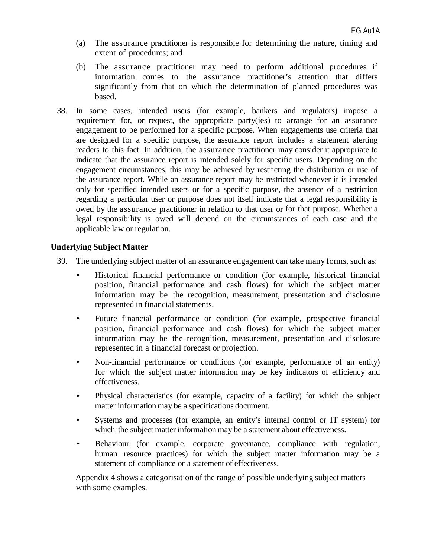- (a) The assurance practitioner is responsible for determining the nature, timing and extent of procedures; and
- (b) The assurance practitioner may need to perform additional procedures if information comes to the assurance practitioner's attention that differs significantly from that on which the determination of planned procedures was based.
- 38. In some cases, intended users (for example, bankers and regulators) impose a requirement for, or request, the appropriate party(ies) to arrange for an assurance engagement to be performed for a specific purpose. When engagements use criteria that are designed for a specific purpose, the assurance report includes a statement alerting readers to this fact. In addition, the assurance practitioner may consider it appropriate to indicate that the assurance report is intended solely for specific users. Depending on the engagement circumstances, this may be achieved by restricting the distribution or use of the assurance report. While an assurance report may be restricted whenever it is intended only for specified intended users or for a specific purpose, the absence of a restriction regarding a particular user or purpose does not itself indicate that a legal responsibility is owed by the assurance practitioner in relation to that user or for that purpose. Whether a legal responsibility is owed will depend on the circumstances of each case and the applicable law or regulation.

### **Underlying Subject Matter**

- 39. The underlying subject matter of an assurance engagement can take many forms, such as:
	- Historical financial performance or condition (for example, historical financial position, financial performance and cash flows) for which the subject matter information may be the recognition, measurement, presentation and disclosure represented in financial statements.
	- Future financial performance or condition (for example, prospective financial position, financial performance and cash flows) for which the subject matter information may be the recognition, measurement, presentation and disclosure represented in a financial forecast or projection.
	- Non-financial performance or conditions (for example, performance of an entity) for which the subject matter information may be key indicators of efficiency and effectiveness.
	- Physical characteristics (for example, capacity of a facility) for which the subject matter information may be a specifications document.
	- Systems and processes (for example, an entity's internal control or IT system) for which the subject matter information may be a statement about effectiveness.
	- Behaviour (for example, corporate governance, compliance with regulation, human resource practices) for which the subject matter information may be a statement of compliance or a statement of effectiveness.

Appendix 4 shows a categorisation of the range of possible underlying subject matters with some examples.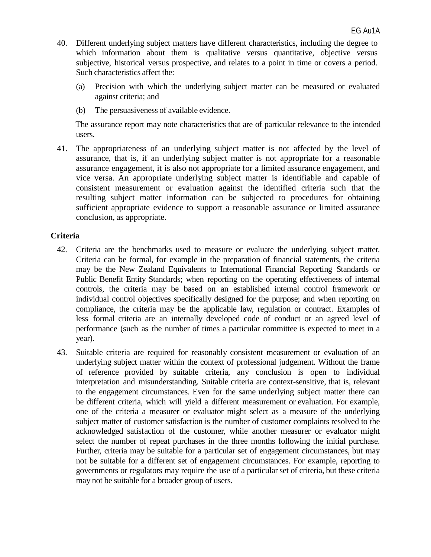- 40. Different underlying subject matters have different characteristics, including the degree to which information about them is qualitative versus quantitative, objective versus subjective, historical versus prospective, and relates to a point in time or covers a period. Such characteristics affect the:
	- (a) Precision with which the underlying subject matter can be measured or evaluated against criteria; and
	- (b) The persuasiveness of available evidence.

The assurance report may note characteristics that are of particular relevance to the intended users.

41. The appropriateness of an underlying subject matter is not affected by the level of assurance, that is, if an underlying subject matter is not appropriate for a reasonable assurance engagement, it is also not appropriate for a limited assurance engagement, and vice versa. An appropriate underlying subject matter is identifiable and capable of consistent measurement or evaluation against the identified criteria such that the resulting subject matter information can be subjected to procedures for obtaining sufficient appropriate evidence to support a reasonable assurance or limited assurance conclusion, as appropriate.

#### **Criteria**

- 42. Criteria are the benchmarks used to measure or evaluate the underlying subject matter. Criteria can be formal, for example in the preparation of financial statements, the criteria may be the New Zealand Equivalents to International Financial Reporting Standards or Public Benefit Entity Standards; when reporting on the operating effectiveness of internal controls, the criteria may be based on an established internal control framework or individual control objectives specifically designed for the purpose; and when reporting on compliance, the criteria may be the applicable law, regulation or contract. Examples of less formal criteria are an internally developed code of conduct or an agreed level of performance (such as the number of times a particular committee is expected to meet in a year).
- 43. Suitable criteria are required for reasonably consistent measurement or evaluation of an underlying subject matter within the context of professional judgement. Without the frame of reference provided by suitable criteria, any conclusion is open to individual interpretation and misunderstanding. Suitable criteria are context-sensitive, that is, relevant to the engagement circumstances. Even for the same underlying subject matter there can be different criteria, which will yield a different measurement or evaluation. For example, one of the criteria a measurer or evaluator might select as a measure of the underlying subject matter of customer satisfaction is the number of customer complaints resolved to the acknowledged satisfaction of the customer, while another measurer or evaluator might select the number of repeat purchases in the three months following the initial purchase. Further, criteria may be suitable for a particular set of engagement circumstances, but may not be suitable for a different set of engagement circumstances. For example, reporting to governments or regulators may require the use of a particularset of criteria, but these criteria may not be suitable for a broader group of users.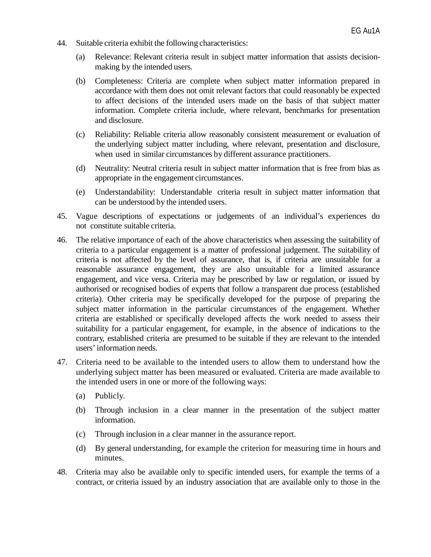- 44. Suitable criteria exhibit the following characteristics:
	- (a) Relevance: Relevant criteria result in subject matter information that assists decisionmaking by the intended users.
	- (b) Completeness: Criteria are complete when subject matter information prepared in accordance with them does not omit relevant factors that could reasonably be expected to affect decisions of the intended users made on the basis of that subject matter information. Complete criteria include, where relevant, benchmarks for presentation and disclosure.
	- (c) Reliability: Reliable criteria allow reasonably consistent measurement or evaluation of the underlying subject matter including, where relevant, presentation and disclosure, when used in similar circumstances by different assurance practitioners.
	- (d) Neutrality: Neutral criteria result in subject matter information that is free from bias as appropriate in the engagement circumstances.
	- (e) Understandability: Understandable criteria result in subject matter information that can be understood by the intended users.
- 45. Vague descriptions of expectations or judgements of an individual's experiences do not constitute suitable criteria.
- 46. The relative importance of each of the above characteristics when assessing the suitability of criteria to a particular engagement is a matter of professional judgement. The suitability of criteria is not affected by the level of assurance, that is, if criteria are unsuitable for a reasonable assurance engagement, they are also unsuitable for a limited assurance engagement, and vice versa. Criteria may be prescribed by law or regulation, or issued by authorised or recognised bodies of experts that follow a transparent due process (established criteria). Other criteria may be specifically developed for the purpose of preparing the subject matter information in the particular circumstances of the engagement. Whether criteria are established or specifically developed affects the work needed to assess their suitability for a particular engagement, for example, in the absence of indications to the contrary, established criteria are presumed to be suitable if they are relevant to the intended users'information needs.
- 47. Criteria need to be available to the intended users to allow them to understand how the underlying subject matter has been measured or evaluated. Criteria are made available to the intended users in one or more of the following ways:
	- (a) Publicly.
	- (b) Through inclusion in a clear manner in the presentation of the subject matter information.
	- (c) Through inclusion in a clear manner in the assurance report.
	- (d) By general understanding, for example the criterion for measuring time in hours and minutes.
- 48. Criteria may also be available only to specific intended users, for example the terms of a contract, or criteria issued by an industry association that are available only to those in the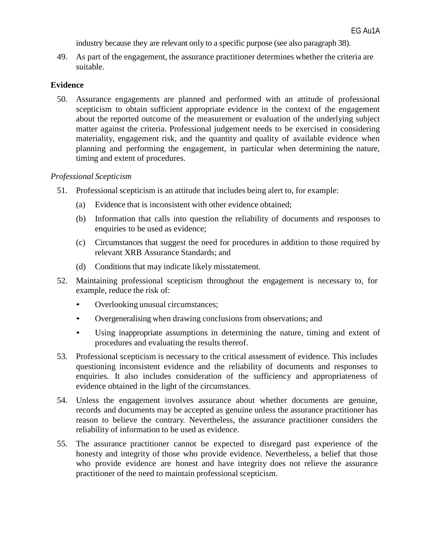industry because they are relevant only to a specific purpose (see also paragraph 38).

49. As part of the engagement, the assurance practitioner determines whether the criteria are suitable.

### **Evidence**

50. Assurance engagements are planned and performed with an attitude of professional scepticism to obtain sufficient appropriate evidence in the context of the engagement about the reported outcome of the measurement or evaluation of the underlying subject matter against the criteria. Professional judgement needs to be exercised in considering materiality, engagement risk, and the quantity and quality of available evidence when planning and performing the engagement, in particular when determining the nature, timing and extent of procedures.

#### *Professional Scepticism*

- 51. Professional scepticism is an attitude that includes being alert to, for example:
	- (a) Evidence that is inconsistent with other evidence obtained;
	- (b) Information that calls into question the reliability of documents and responses to enquiries to be used as evidence;
	- (c) Circumstances that suggest the need for procedures in addition to those required by relevant XRB Assurance Standards; and
	- (d) Conditions that may indicate likely misstatement.
- 52. Maintaining professional scepticism throughout the engagement is necessary to, for example, reduce the risk of:
	- Overlooking unusual circumstances;
	- Overgeneralising when drawing conclusions from observations; and
	- Using inappropriate assumptions in determining the nature, timing and extent of procedures and evaluating the results thereof.
- 53. Professional scepticism is necessary to the critical assessment of evidence. This includes questioning inconsistent evidence and the reliability of documents and responses to enquiries. It also includes consideration of the sufficiency and appropriateness of evidence obtained in the light of the circumstances.
- 54. Unless the engagement involves assurance about whether documents are genuine, records and documents may be accepted as genuine unless the assurance practitioner has reason to believe the contrary. Nevertheless, the assurance practitioner considers the reliability of information to be used as evidence.
- 55. The assurance practitioner cannot be expected to disregard past experience of the honesty and integrity of those who provide evidence. Nevertheless, a belief that those who provide evidence are honest and have integrity does not relieve the assurance practitioner of the need to maintain professional scepticism.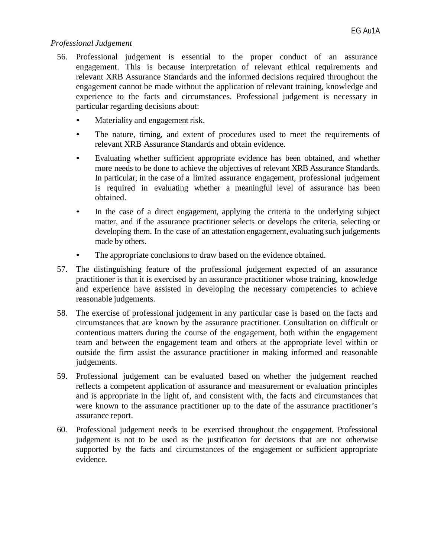### *Professional Judgement*

- 56. Professional judgement is essential to the proper conduct of an assurance engagement. This is because interpretation of relevant ethical requirements and relevant XRB Assurance Standards and the informed decisions required throughout the engagement cannot be made without the application of relevant training, knowledge and experience to the facts and circumstances. Professional judgement is necessary in particular regarding decisions about:
	- Materiality and engagement risk.
	- The nature, timing, and extent of procedures used to meet the requirements of relevant XRB Assurance Standards and obtain evidence.
	- Evaluating whether sufficient appropriate evidence has been obtained, and whether more needs to be done to achieve the objectives of relevant XRB Assurance Standards. In particular, in the case of a limited assurance engagement, professional judgement is required in evaluating whether a meaningful level of assurance has been obtained.
	- In the case of a direct engagement, applying the criteria to the underlying subject matter, and if the assurance practitioner selects or develops the criteria, selecting or developing them. In the case of an attestation engagement, evaluating such judgements made by others.
	- The appropriate conclusions to draw based on the evidence obtained.
- 57. The distinguishing feature of the professional judgement expected of an assurance practitioner is that it is exercised by an assurance practitioner whose training, knowledge and experience have assisted in developing the necessary competencies to achieve reasonable judgements.
- 58. The exercise of professional judgement in any particular case is based on the facts and circumstances that are known by the assurance practitioner. Consultation on difficult or contentious matters during the course of the engagement, both within the engagement team and between the engagement team and others at the appropriate level within or outside the firm assist the assurance practitioner in making informed and reasonable judgements.
- 59. Professional judgement can be evaluated based on whether the judgement reached reflects a competent application of assurance and measurement or evaluation principles and is appropriate in the light of, and consistent with, the facts and circumstances that were known to the assurance practitioner up to the date of the assurance practitioner's assurance report.
- 60. Professional judgement needs to be exercised throughout the engagement. Professional judgement is not to be used as the justification for decisions that are not otherwise supported by the facts and circumstances of the engagement or sufficient appropriate evidence.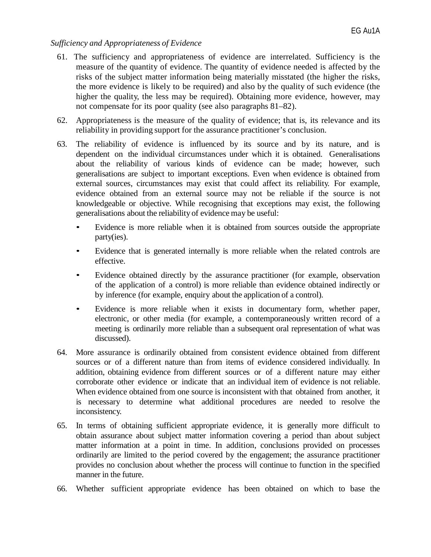### *Sufficiency and Appropriateness of Evidence*

- 61. The sufficiency and appropriateness of evidence are interrelated. Sufficiency is the measure of the quantity of evidence. The quantity of evidence needed is affected by the risks of the subject matter information being materially misstated (the higher the risks, the more evidence is likely to be required) and also by the quality of such evidence (the higher the quality, the less may be required). Obtaining more evidence, however, may not compensate for its poor quality (see also paragraphs 81–82).
- 62. Appropriateness is the measure of the quality of evidence; that is, its relevance and its reliability in providing support for the assurance practitioner's conclusion.
- 63. The reliability of evidence is influenced by its source and by its nature, and is dependent on the individual circumstances under which it is obtained. Generalisations about the reliability of various kinds of evidence can be made; however, such generalisations are subject to important exceptions. Even when evidence is obtained from external sources, circumstances may exist that could affect its reliability. For example, evidence obtained from an external source may not be reliable if the source is not knowledgeable or objective. While recognising that exceptions may exist, the following generalisations about the reliability of evidence may be useful:
	- Evidence is more reliable when it is obtained from sources outside the appropriate party(ies).
	- Evidence that is generated internally is more reliable when the related controls are effective.
	- Evidence obtained directly by the assurance practitioner (for example, observation of the application of a control) is more reliable than evidence obtained indirectly or by inference (for example, enquiry about the application of a control).
	- Evidence is more reliable when it exists in documentary form, whether paper, electronic, or other media (for example, a contemporaneously written record of a meeting is ordinarily more reliable than a subsequent oral representation of what was discussed).
- 64. More assurance is ordinarily obtained from consistent evidence obtained from different sources or of a different nature than from items of evidence considered individually. In addition, obtaining evidence from different sources or of a different nature may either corroborate other evidence or indicate that an individual item of evidence is not reliable. When evidence obtained from one source is inconsistent with that obtained from another, it is necessary to determine what additional procedures are needed to resolve the inconsistency.
- 65. In terms of obtaining sufficient appropriate evidence, it is generally more difficult to obtain assurance about subject matter information covering a period than about subject matter information at a point in time. In addition, conclusions provided on processes ordinarily are limited to the period covered by the engagement; the assurance practitioner provides no conclusion about whether the process will continue to function in the specified manner in the future.
- 66. Whether sufficient appropriate evidence has been obtained on which to base the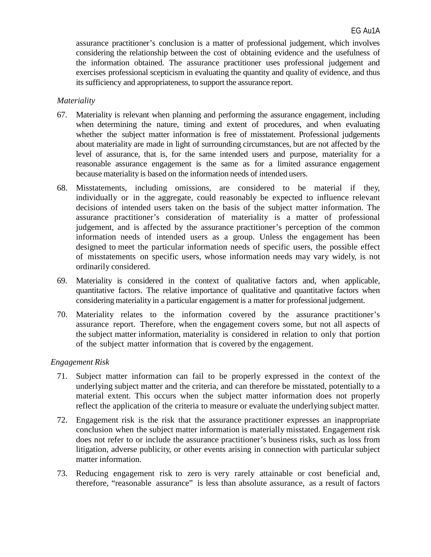assurance practitioner's conclusion is a matter of professional judgement, which involves considering the relationship between the cost of obtaining evidence and the usefulness of the information obtained. The assurance practitioner uses professional judgement and exercises professional scepticism in evaluating the quantity and quality of evidence, and thus its sufficiency and appropriateness, to support the assurance report.

### *Materiality*

- 67. Materiality is relevant when planning and performing the assurance engagement, including when determining the nature, timing and extent of procedures, and when evaluating whether the subject matter information is free of misstatement. Professional judgements about materiality are made in light of surrounding circumstances, but are not affected by the level of assurance, that is, for the same intended users and purpose, materiality for a reasonable assurance engagement is the same as for a limited assurance engagement because materiality is based on the information needs of intended users.
- 68. Misstatements, including omissions, are considered to be material if they, individually or in the aggregate, could reasonably be expected to influence relevant decisions of intended users taken on the basis of the subject matter information. The assurance practitioner's consideration of materiality is a matter of professional judgement, and is affected by the assurance practitioner's perception of the common information needs of intended users as a group. Unless the engagement has been designed to meet the particular information needs of specific users, the possible effect of misstatements on specific users, whose information needs may vary widely, is not ordinarily considered.
- 69. Materiality is considered in the context of qualitative factors and, when applicable, quantitative factors. The relative importance of qualitative and quantitative factors when considering materiality in a particular engagement is a matter for professional judgement.
- 70. Materiality relates to the information covered by the assurance practitioner's assurance report. Therefore, when the engagement covers some, but not all aspects of the subject matter information, materiality is considered in relation to only that portion of the subject matter information that is covered by the engagement.

#### *Engagement Risk*

- 71. Subject matter information can fail to be properly expressed in the context of the underlying subject matter and the criteria, and can therefore be misstated, potentially to a material extent. This occurs when the subject matter information does not properly reflect the application of the criteria to measure or evaluate the underlying subject matter.
- 72. Engagement risk is the risk that the assurance practitioner expresses an inappropriate conclusion when the subject matter information is materially misstated. Engagement risk does not refer to or include the assurance practitioner's business risks, such as loss from litigation, adverse publicity, or other events arising in connection with particular subject matter information.
- 73. Reducing engagement risk to zero is very rarely attainable or cost beneficial and, therefore, "reasonable assurance" is less than absolute assurance, as a result of factors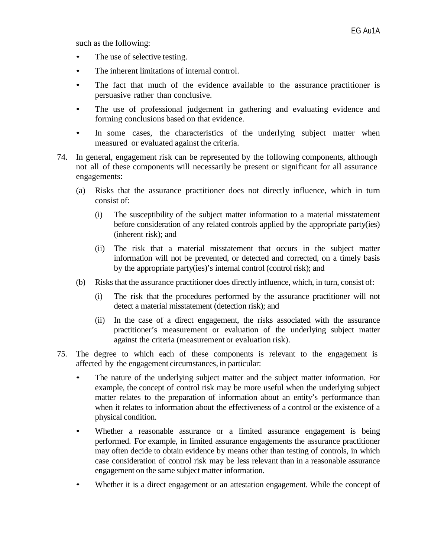such as the following:

- The use of selective testing.
- The inherent limitations of internal control.
- The fact that much of the evidence available to the assurance practitioner is persuasive rather than conclusive.
- The use of professional judgement in gathering and evaluating evidence and forming conclusions based on that evidence.
- In some cases, the characteristics of the underlying subject matter when measured or evaluated against the criteria.
- 74. In general, engagement risk can be represented by the following components, although not all of these components will necessarily be present or significant for all assurance engagements:
	- (a) Risks that the assurance practitioner does not directly influence, which in turn consist of:
		- (i) The susceptibility of the subject matter information to a material misstatement before consideration of any related controls applied by the appropriate party(ies) (inherent risk); and
		- (ii) The risk that a material misstatement that occurs in the subject matter information will not be prevented, or detected and corrected, on a timely basis by the appropriate party(ies)'s internal control (control risk); and
	- (b) Risks that the assurance practitioner does directly influence, which, in turn, consist of:
		- (i) The risk that the procedures performed by the assurance practitioner will not detect a material misstatement (detection risk); and
		- (ii) In the case of a direct engagement, the risks associated with the assurance practitioner's measurement or evaluation of the underlying subject matter against the criteria (measurement or evaluation risk).
- 75. The degree to which each of these components is relevant to the engagement is affected by the engagement circumstances, in particular:
	- The nature of the underlying subject matter and the subject matter information. For example, the concept of control risk may be more useful when the underlying subject matter relates to the preparation of information about an entity's performance than when it relates to information about the effectiveness of a control or the existence of a physical condition.
	- Whether a reasonable assurance or a limited assurance engagement is being performed. For example, in limited assurance engagements the assurance practitioner may often decide to obtain evidence by means other than testing of controls, in which case consideration of control risk may be less relevant than in a reasonable assurance engagement on the same subject matter information.
	- Whether it is a direct engagement or an attestation engagement. While the concept of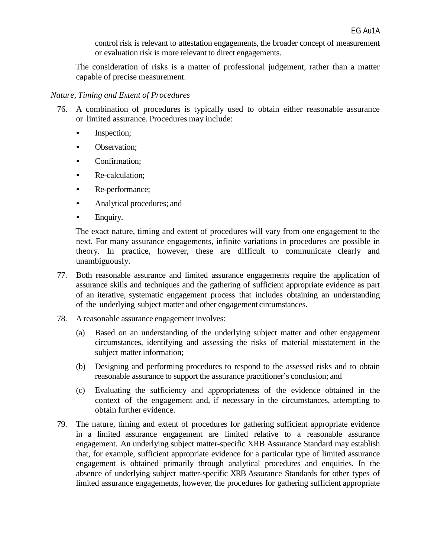control risk is relevant to attestation engagements, the broader concept of measurement or evaluation risk is more relevant to direct engagements.

The consideration of risks is a matter of professional judgement, rather than a matter capable of precise measurement.

#### *Nature, Timing and Extent of Procedures*

- 76. A combination of procedures is typically used to obtain either reasonable assurance or limited assurance. Procedures may include:
	- Inspection;
	- Observation;
	- **Confirmation**;
	- Re-calculation;
	- Re-performance;
	- Analytical procedures; and
	- Enquiry.

The exact nature, timing and extent of procedures will vary from one engagement to the next. For many assurance engagements, infinite variations in procedures are possible in theory. In practice, however, these are difficult to communicate clearly and unambiguously.

- 77. Both reasonable assurance and limited assurance engagements require the application of assurance skills and techniques and the gathering of sufficient appropriate evidence as part of an iterative, systematic engagement process that includes obtaining an understanding of the underlying subject matter and other engagement circumstances.
- 78. A reasonable assurance engagement involves:
	- (a) Based on an understanding of the underlying subject matter and other engagement circumstances, identifying and assessing the risks of material misstatement in the subject matter information;
	- (b) Designing and performing procedures to respond to the assessed risks and to obtain reasonable assurance to support the assurance practitioner's conclusion; and
	- (c) Evaluating the sufficiency and appropriateness of the evidence obtained in the context of the engagement and, if necessary in the circumstances, attempting to obtain further evidence.
- 79. The nature, timing and extent of procedures for gathering sufficient appropriate evidence in a limited assurance engagement are limited relative to a reasonable assurance engagement. An underlying subject matter-specific XRB Assurance Standard may establish that, for example, sufficient appropriate evidence for a particular type of limited assurance engagement is obtained primarily through analytical procedures and enquiries. In the absence of underlying subject matter-specific XRB Assurance Standards for other types of limited assurance engagements, however, the procedures for gathering sufficient appropriate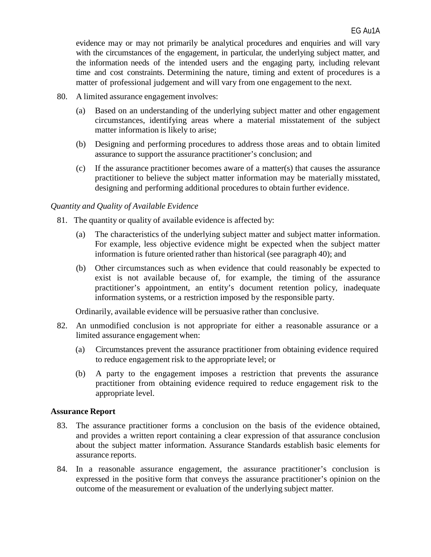evidence may or may not primarily be analytical procedures and enquiries and will vary with the circumstances of the engagement, in particular, the underlying subject matter, and the information needs of the intended users and the engaging party, including relevant time and cost constraints. Determining the nature, timing and extent of procedures is a matter of professional judgement and will vary from one engagement to the next.

- 80. A limited assurance engagement involves:
	- (a) Based on an understanding of the underlying subject matter and other engagement circumstances, identifying areas where a material misstatement of the subject matter information is likely to arise;
	- (b) Designing and performing procedures to address those areas and to obtain limited assurance to support the assurance practitioner's conclusion; and
	- (c) If the assurance practitioner becomes aware of a matter(s) that causes the assurance practitioner to believe the subject matter information may be materially misstated, designing and performing additional procedures to obtain further evidence.

#### *Quantity and Quality of Available Evidence*

- 81. The quantity or quality of available evidence is affected by:
	- (a) The characteristics of the underlying subject matter and subject matter information. For example, less objective evidence might be expected when the subject matter information is future oriented rather than historical (see paragraph 40); and
	- (b) Other circumstances such as when evidence that could reasonably be expected to exist is not available because of, for example, the timing of the assurance practitioner's appointment, an entity's document retention policy, inadequate information systems, or a restriction imposed by the responsible party.

Ordinarily, available evidence will be persuasive rather than conclusive.

- 82. An unmodified conclusion is not appropriate for either a reasonable assurance or a limited assurance engagement when:
	- (a) Circumstances prevent the assurance practitioner from obtaining evidence required to reduce engagement risk to the appropriate level; or
	- (b) A party to the engagement imposes a restriction that prevents the assurance practitioner from obtaining evidence required to reduce engagement risk to the appropriate level.

#### **Assurance Report**

- 83. The assurance practitioner forms a conclusion on the basis of the evidence obtained, and provides a written report containing a clear expression of that assurance conclusion about the subject matter information. Assurance Standards establish basic elements for assurance reports.
- 84. In a reasonable assurance engagement, the assurance practitioner's conclusion is expressed in the positive form that conveys the assurance practitioner's opinion on the outcome of the measurement or evaluation of the underlying subject matter.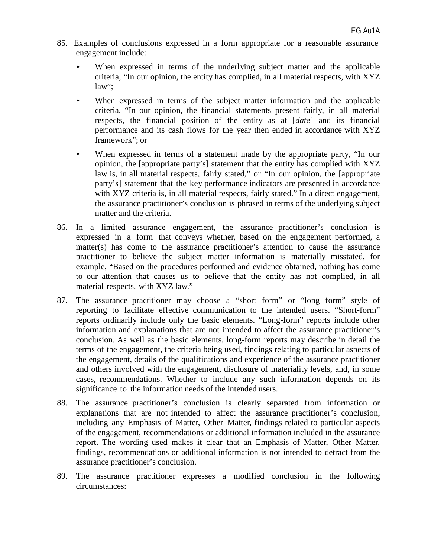- 85. Examples of conclusions expressed in a form appropriate for a reasonable assurance engagement include:
	- When expressed in terms of the underlying subject matter and the applicable criteria, "In our opinion, the entity has complied, in all material respects, with XYZ law";
	- When expressed in terms of the subject matter information and the applicable criteria, "In our opinion, the financial statements present fairly, in all material respects, the financial position of the entity as at [*date*] and its financial performance and its cash flows for the year then ended in accordance with XYZ framework"; or
	- When expressed in terms of a statement made by the appropriate party, "In our opinion, the [appropriate party's] statement that the entity has complied with XYZ law is, in all material respects, fairly stated," or "In our opinion, the [appropriate party's] statement that the key performance indicators are presented in accordance with XYZ criteria is, in all material respects, fairly stated." In a direct engagement, the assurance practitioner's conclusion is phrased in terms of the underlying subject matter and the criteria.
- 86. In a limited assurance engagement, the assurance practitioner's conclusion is expressed in a form that conveys whether, based on the engagement performed, a matter(s) has come to the assurance practitioner's attention to cause the assurance practitioner to believe the subject matter information is materially misstated, for example, "Based on the procedures performed and evidence obtained, nothing has come to our attention that causes us to believe that the entity has not complied, in all material respects, with XYZ law."
- 87. The assurance practitioner may choose a "short form" or "long form" style of reporting to facilitate effective communication to the intended users. "Short-form" reports ordinarily include only the basic elements. "Long-form" reports include other information and explanations that are not intended to affect the assurance practitioner's conclusion. As well as the basic elements, long-form reports may describe in detail the terms of the engagement, the criteria being used, findings relating to particular aspects of the engagement, details of the qualifications and experience of the assurance practitioner and others involved with the engagement, disclosure of materiality levels, and, in some cases, recommendations. Whether to include any such information depends on its significance to the information needs of the intended users.
- 88. The assurance practitioner's conclusion is clearly separated from information or explanations that are not intended to affect the assurance practitioner's conclusion, including any Emphasis of Matter, Other Matter, findings related to particular aspects of the engagement, recommendations or additional information included in the assurance report. The wording used makes it clear that an Emphasis of Matter, Other Matter, findings, recommendations or additional information is not intended to detract from the assurance practitioner's conclusion.
- 89. The assurance practitioner expresses a modified conclusion in the following circumstances: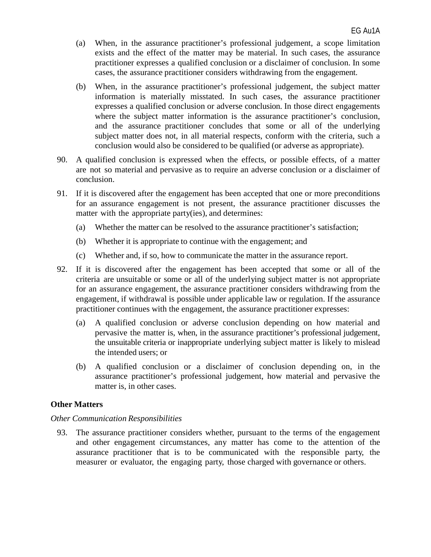- (a) When, in the assurance practitioner's professional judgement, a scope limitation exists and the effect of the matter may be material. In such cases, the assurance practitioner expresses a qualified conclusion or a disclaimer of conclusion. In some cases, the assurance practitioner considers withdrawing from the engagement.
- (b) When, in the assurance practitioner's professional judgement, the subject matter information is materially misstated. In such cases, the assurance practitioner expresses a qualified conclusion or adverse conclusion. In those direct engagements where the subject matter information is the assurance practitioner's conclusion, and the assurance practitioner concludes that some or all of the underlying subject matter does not, in all material respects, conform with the criteria, such a conclusion would also be considered to be qualified (or adverse as appropriate).
- 90. A qualified conclusion is expressed when the effects, or possible effects, of a matter are not so material and pervasive as to require an adverse conclusion or a disclaimer of conclusion.
- 91. If it is discovered after the engagement has been accepted that one or more preconditions for an assurance engagement is not present, the assurance practitioner discusses the matter with the appropriate party(ies), and determines:
	- (a) Whether the matter can be resolved to the assurance practitioner's satisfaction;
	- (b) Whether it is appropriate to continue with the engagement; and
	- (c) Whether and, if so, how to communicate the matter in the assurance report.
- 92. If it is discovered after the engagement has been accepted that some or all of the criteria are unsuitable or some or all of the underlying subject matter is not appropriate for an assurance engagement, the assurance practitioner considers withdrawing from the engagement, if withdrawal is possible under applicable law or regulation. If the assurance practitioner continues with the engagement, the assurance practitioner expresses:
	- (a) A qualified conclusion or adverse conclusion depending on how material and pervasive the matter is, when, in the assurance practitioner's professional judgement, the unsuitable criteria or inappropriate underlying subject matter is likely to mislead the intended users; or
	- (b) A qualified conclusion or a disclaimer of conclusion depending on, in the assurance practitioner's professional judgement, how material and pervasive the matter is, in other cases.

#### **Other Matters**

#### *Other Communication Responsibilities*

93. The assurance practitioner considers whether, pursuant to the terms of the engagement and other engagement circumstances, any matter has come to the attention of the assurance practitioner that is to be communicated with the responsible party, the measurer or evaluator, the engaging party, those charged with governance or others.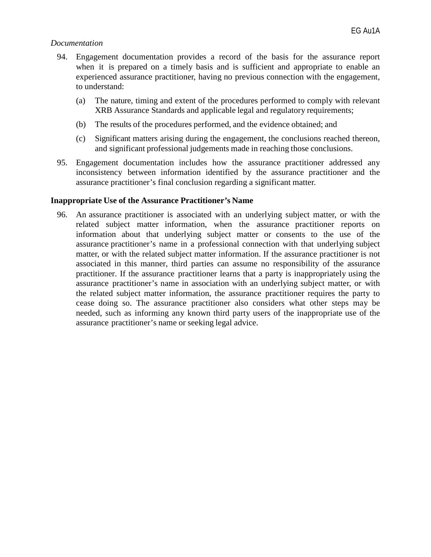#### *Documentation*

- 94. Engagement documentation provides a record of the basis for the assurance report when it is prepared on a timely basis and is sufficient and appropriate to enable an experienced assurance practitioner, having no previous connection with the engagement, to understand:
	- (a) The nature, timing and extent of the procedures performed to comply with relevant XRB Assurance Standards and applicable legal and regulatory requirements;
	- (b) The results of the procedures performed, and the evidence obtained; and
	- (c) Significant matters arising during the engagement, the conclusions reached thereon, and significant professional judgements made in reaching those conclusions.
- 95. Engagement documentation includes how the assurance practitioner addressed any inconsistency between information identified by the assurance practitioner and the assurance practitioner's final conclusion regarding a significant matter.

#### **Inappropriate Use of the Assurance Practitioner's Name**

96. An assurance practitioner is associated with an underlying subject matter, or with the related subject matter information, when the assurance practitioner reports on information about that underlying subject matter or consents to the use of the assurance practitioner's name in a professional connection with that underlying subject matter, or with the related subject matter information. If the assurance practitioner is not associated in this manner, third parties can assume no responsibility of the assurance practitioner. If the assurance practitioner learns that a party is inappropriately using the assurance practitioner's name in association with an underlying subject matter, or with the related subject matter information, the assurance practitioner requires the party to cease doing so. The assurance practitioner also considers what other steps may be needed, such as informing any known third party users of the inappropriate use of the assurance practitioner's name or seeking legal advice.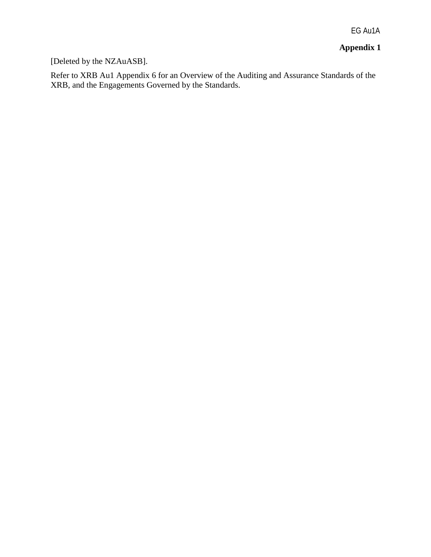EG Au1A

# **Appendix 1**

# [Deleted by the NZAuASB].

Refer to XRB Au1 Appendix 6 for an Overview of the Auditing and Assurance Standards of the XRB, and the Engagements Governed by the Standards.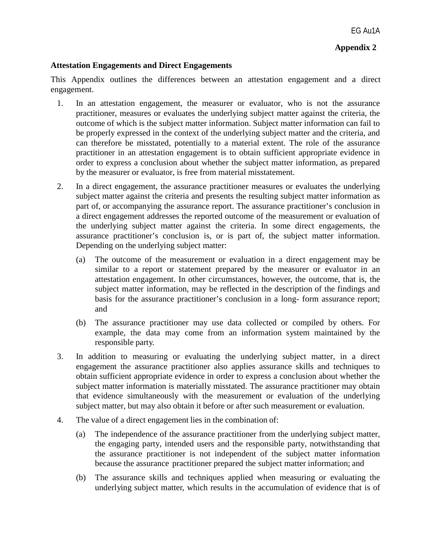### **Appendix 2**

#### **Attestation Engagements and Direct Engagements**

This Appendix outlines the differences between an attestation engagement and a direct engagement.

- 1. In an attestation engagement, the measurer or evaluator, who is not the assurance practitioner, measures or evaluates the underlying subject matter against the criteria, the outcome of which is the subject matter information. Subject matter information can fail to be properly expressed in the context of the underlying subject matter and the criteria, and can therefore be misstated, potentially to a material extent. The role of the assurance practitioner in an attestation engagement is to obtain sufficient appropriate evidence in order to express a conclusion about whether the subject matter information, as prepared by the measurer or evaluator, is free from material misstatement.
- 2. In a direct engagement, the assurance practitioner measures or evaluates the underlying subject matter against the criteria and presents the resulting subject matter information as part of, or accompanying the assurance report. The assurance practitioner's conclusion in a direct engagement addresses the reported outcome of the measurement or evaluation of the underlying subject matter against the criteria. In some direct engagements, the assurance practitioner's conclusion is, or is part of, the subject matter information. Depending on the underlying subject matter:
	- (a) The outcome of the measurement or evaluation in a direct engagement may be similar to a report or statement prepared by the measurer or evaluator in an attestation engagement. In other circumstances, however, the outcome, that is, the subject matter information, may be reflected in the description of the findings and basis for the assurance practitioner's conclusion in a long- form assurance report; and
	- (b) The assurance practitioner may use data collected or compiled by others. For example, the data may come from an information system maintained by the responsible party.
- 3. In addition to measuring or evaluating the underlying subject matter, in a direct engagement the assurance practitioner also applies assurance skills and techniques to obtain sufficient appropriate evidence in order to express a conclusion about whether the subject matter information is materially misstated. The assurance practitioner may obtain that evidence simultaneously with the measurement or evaluation of the underlying subject matter, but may also obtain it before or after such measurement or evaluation.
- 4. The value of a direct engagement lies in the combination of:
	- (a) The independence of the assurance practitioner from the underlying subject matter, the engaging party, intended users and the responsible party, notwithstanding that the assurance practitioner is not independent of the subject matter information because the assurance practitioner prepared the subject matter information; and
	- (b) The assurance skills and techniques applied when measuring or evaluating the underlying subject matter, which results in the accumulation of evidence that is of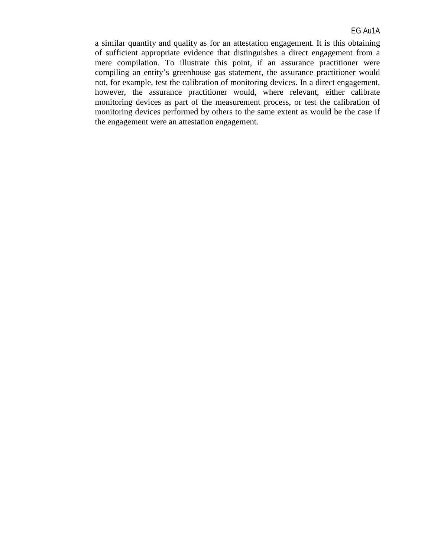a similar quantity and quality as for an attestation engagement. It is this obtaining of sufficient appropriate evidence that distinguishes a direct engagement from a mere compilation. To illustrate this point, if an assurance practitioner were compiling an entity's greenhouse gas statement, the assurance practitioner would not, for example, test the calibration of monitoring devices. In a direct engagement, however, the assurance practitioner would, where relevant, either calibrate monitoring devices as part of the measurement process, or test the calibration of monitoring devices performed by others to the same extent as would be the case if the engagement were an attestation engagement.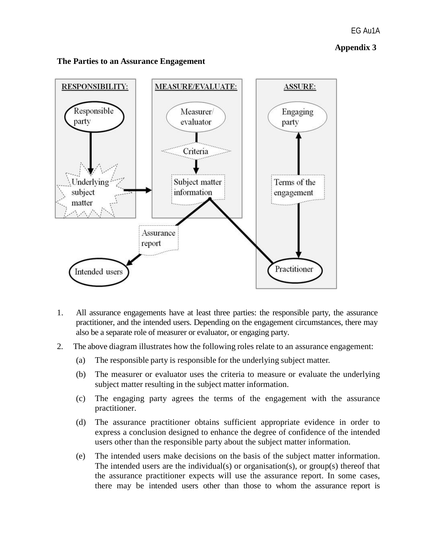#### EG Au1A

### **Appendix 3**



## **The Parties to an Assurance Engagement**

- 1. All assurance engagements have at least three parties: the responsible party, the assurance practitioner, and the intended users. Depending on the engagement circumstances, there may also be a separate role of measurer or evaluator, or engaging party.
- 2. The above diagram illustrates how the following roles relate to an assurance engagement:
	- (a) The responsible party is responsible for the underlying subject matter.
	- (b) The measurer or evaluator uses the criteria to measure or evaluate the underlying subject matter resulting in the subject matter information.
	- (c) The engaging party agrees the terms of the engagement with the assurance practitioner.
	- (d) The assurance practitioner obtains sufficient appropriate evidence in order to express a conclusion designed to enhance the degree of confidence of the intended users other than the responsible party about the subject matter information.
	- (e) The intended users make decisions on the basis of the subject matter information. The intended users are the individual(s) or organisation(s), or group(s) thereof that the assurance practitioner expects will use the assurance report. In some cases, there may be intended users other than those to whom the assurance report is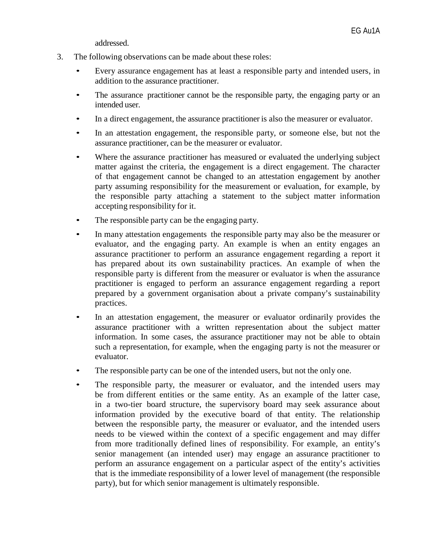addressed.

- 3. The following observations can be made about these roles:
	- Every assurance engagement has at least a responsible party and intended users, in addition to the assurance practitioner.
	- The assurance practitioner cannot be the responsible party, the engaging party or an intended user.
	- In a direct engagement, the assurance practitioner is also the measurer or evaluator.
	- In an attestation engagement, the responsible party, or someone else, but not the assurance practitioner, can be the measurer or evaluator.
	- Where the assurance practitioner has measured or evaluated the underlying subject matter against the criteria, the engagement is a direct engagement. The character of that engagement cannot be changed to an attestation engagement by another party assuming responsibility for the measurement or evaluation, for example, by the responsible party attaching a statement to the subject matter information accepting responsibility for it.
	- The responsible party can be the engaging party.
	- In many attestation engagements the responsible party may also be the measurer or evaluator, and the engaging party. An example is when an entity engages an assurance practitioner to perform an assurance engagement regarding a report it has prepared about its own sustainability practices. An example of when the responsible party is different from the measurer or evaluator is when the assurance practitioner is engaged to perform an assurance engagement regarding a report prepared by a government organisation about a private company's sustainability practices.
	- In an attestation engagement, the measurer or evaluator ordinarily provides the assurance practitioner with a written representation about the subject matter information. In some cases, the assurance practitioner may not be able to obtain such a representation, for example, when the engaging party is not the measurer or evaluator.
	- The responsible party can be one of the intended users, but not the only one.
	- The responsible party, the measurer or evaluator, and the intended users may be from different entities or the same entity. As an example of the latter case, in a two-tier board structure, the supervisory board may seek assurance about information provided by the executive board of that entity. The relationship between the responsible party, the measurer or evaluator, and the intended users needs to be viewed within the context of a specific engagement and may differ from more traditionally defined lines of responsibility. For example, an entity's senior management (an intended user) may engage an assurance practitioner to perform an assurance engagement on a particular aspect of the entity's activities that is the immediate responsibility of a lower level of management (the responsible party), but for which senior management is ultimately responsible.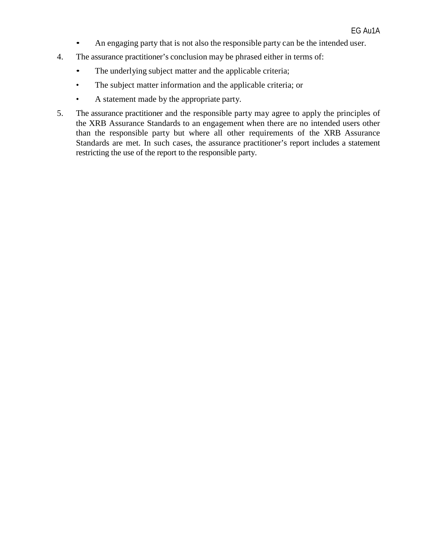- An engaging party that is not also the responsible party can be the intended user.
- 4. The assurance practitioner's conclusion may be phrased either in terms of:
	- The underlying subject matter and the applicable criteria;
	- The subject matter information and the applicable criteria; or
	- A statement made by the appropriate party.
- 5. The assurance practitioner and the responsible party may agree to apply the principles of the XRB Assurance Standards to an engagement when there are no intended users other than the responsible party but where all other requirements of the XRB Assurance Standards are met. In such cases, the assurance practitioner's report includes a statement restricting the use of the report to the responsible party.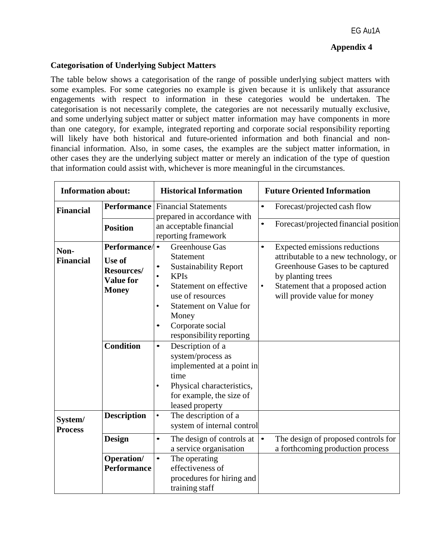#### **Appendix 4**

#### **Categorisation of Underlying Subject Matters**

The table below shows a categorisation of the range of possible underlying subject matters with some examples. For some categories no example is given because it is unlikely that assurance engagements with respect to information in these categories would be undertaken. The categorisation is not necessarily complete, the categories are not necessarily mutually exclusive, and some underlying subject matter or subject matter information may have components in more than one category, for example, integrated reporting and corporate social responsibility reporting will likely have both historical and future-oriented information and both financial and nonfinancial information. Also, in some cases, the examples are the subject matter information, in other cases they are the underlying subject matter or merely an indication of the type of question that information could assist with, whichever is more meaningful in the circumstances.

| <b>Information about:</b> |                                                                                        | <b>Historical Information</b>                                                                                                                                                                                                                                                        | <b>Future Oriented Information</b>                                                                                                                                                                                  |  |  |
|---------------------------|----------------------------------------------------------------------------------------|--------------------------------------------------------------------------------------------------------------------------------------------------------------------------------------------------------------------------------------------------------------------------------------|---------------------------------------------------------------------------------------------------------------------------------------------------------------------------------------------------------------------|--|--|
| <b>Financial</b>          | Performance                                                                            | <b>Financial Statements</b><br>prepared in accordance with                                                                                                                                                                                                                           | Forecast/projected cash flow<br>$\bullet$                                                                                                                                                                           |  |  |
|                           | <b>Position</b>                                                                        | an acceptable financial<br>reporting framework                                                                                                                                                                                                                                       | Forecast/projected financial position                                                                                                                                                                               |  |  |
| Non-<br><b>Financial</b>  | Performance/<br><b>Use of</b><br><b>Resources/</b><br><b>Value for</b><br><b>Money</b> | <b>Greenhouse Gas</b><br><b>Statement</b><br><b>Sustainability Report</b><br><b>KPIs</b><br>$\bullet$<br>Statement on effective<br>$\bullet$<br>use of resources<br><b>Statement on Value for</b><br>$\bullet$<br>Money<br>Corporate social<br>$\bullet$<br>responsibility reporting | Expected emissions reductions<br>$\bullet$<br>attributable to a new technology, or<br>Greenhouse Gases to be captured<br>by planting trees<br>Statement that a proposed action<br>٠<br>will provide value for money |  |  |
|                           | <b>Condition</b>                                                                       | Description of a<br>$\bullet$<br>system/process as<br>implemented at a point in<br>time<br>Physical characteristics,<br>$\bullet$<br>for example, the size of<br>leased property                                                                                                     |                                                                                                                                                                                                                     |  |  |
| System/<br><b>Process</b> | <b>Description</b>                                                                     | The description of a<br>$\bullet$<br>system of internal control                                                                                                                                                                                                                      |                                                                                                                                                                                                                     |  |  |
|                           | <b>Design</b>                                                                          | The design of controls at<br>$\bullet$<br>a service organisation                                                                                                                                                                                                                     | The design of proposed controls for<br>$\bullet$<br>a forthcoming production process                                                                                                                                |  |  |
|                           | Operation/<br><b>Performance</b>                                                       | The operating<br>$\bullet$<br>effectiveness of<br>procedures for hiring and<br>training staff                                                                                                                                                                                        |                                                                                                                                                                                                                     |  |  |